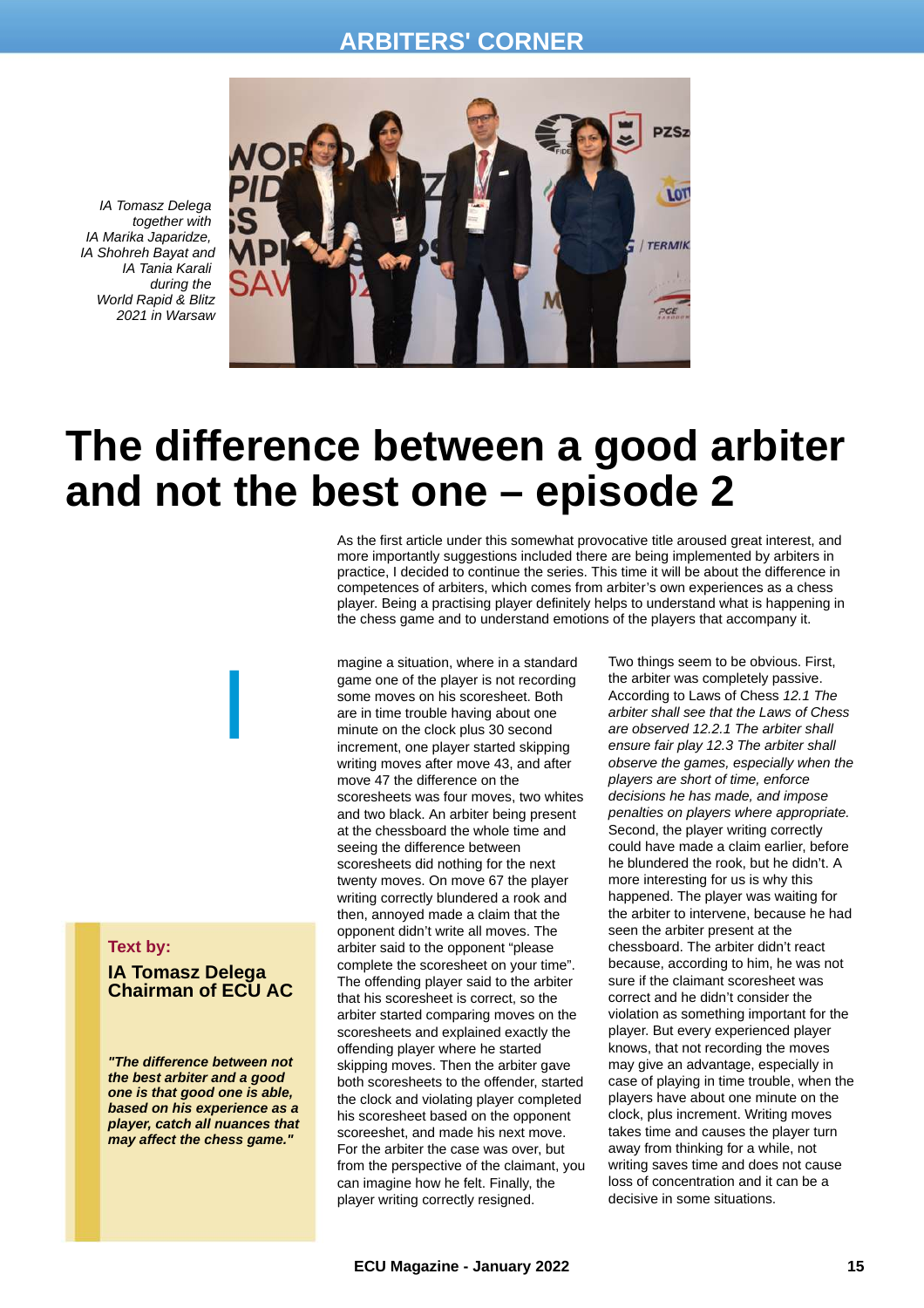### **ARBITERS' CORNER**

*IA Tomasz Delega together with IA Marika Japaridze, IA Shohreh Bayat and IA Tania Karali during the World Rapid & Blitz 2021 in Warsaw*



# **The difference between a good arbiter and not the best one – episode 2**

As the first article under this somewhat provocative title aroused great interest, and more importantly suggestions included there are being implemented by arbiters in practice, I decided to continue the series. This time it will be about the difference in competences of arbiters, which comes from arbiter's own experiences as a chess player. Being a practising player definitely helps to understand what is happening in the chess game and to understand emotions of the players that accompany it.

magine a situation, where in a standard game one of the player is not recording some moves on his scoresheet. Both are in time trouble having about one minute on the clock plus 30 second increment, one player started skipping writing moves after move 43, and after move 47 the difference on the scoresheets was four moves, two whites and two black. An arbiter being present at the chessboard the whole time and seeing the difference between scoresheets did nothing for the next twenty moves. On move 67 the player writing correctly blundered a rook and then, annoyed made a claim that the opponent didn't write all moves. The arbiter said to the opponent "please complete the scoresheet on your time". The offending player said to the arbiter that his scoresheet is correct, so the arbiter started comparing moves on the scoresheets and explained exactly the offending player where he started skipping moves. Then the arbiter gave both scoresheets to the offender, started the clock and violating player completed his scoresheet based on the opponent scoreeshet, and made his next move. For the arbiter the case was over, but from the perspective of the claimant, you can imagine how he felt. Finally, the player writing correctly resigned.

Two things seem to be obvious. First, the arbiter was completely passive. According to Laws of Chess *12.1 The arbiter shall see that the Laws of Chess are observed 12.2.1 The arbiter shall ensure fair play 12.3 The arbiter shall observe the games, especially when the players are short of time, enforce decisions he has made, and impose penalties on players where appropriate.* Second, the player writing correctly could have made a claim earlier, before he blundered the rook, but he didn't. A more interesting for us is why this happened. The player was waiting for the arbiter to intervene, because he had seen the arbiter present at the chessboard. The arbiter didn't react because, according to him, he was not sure if the claimant scoresheet was correct and he didn't consider the violation as something important for the player. But every experienced player knows, that not recording the moves may give an advantage, especially in case of playing in time trouble, when the players have about one minute on the clock, plus increment. Writing moves takes time and causes the player turn away from thinking for a while, not writing saves time and does not cause loss of concentration and it can be a decisive in some situations.

#### **Text by:**

**IA Tomasz Delega Chairman of ECU AC**

I

*"The difference between not the best arbiter and a good one is that good one is able, based on his experience as a player, catch all nuances that may affect the chess game."*